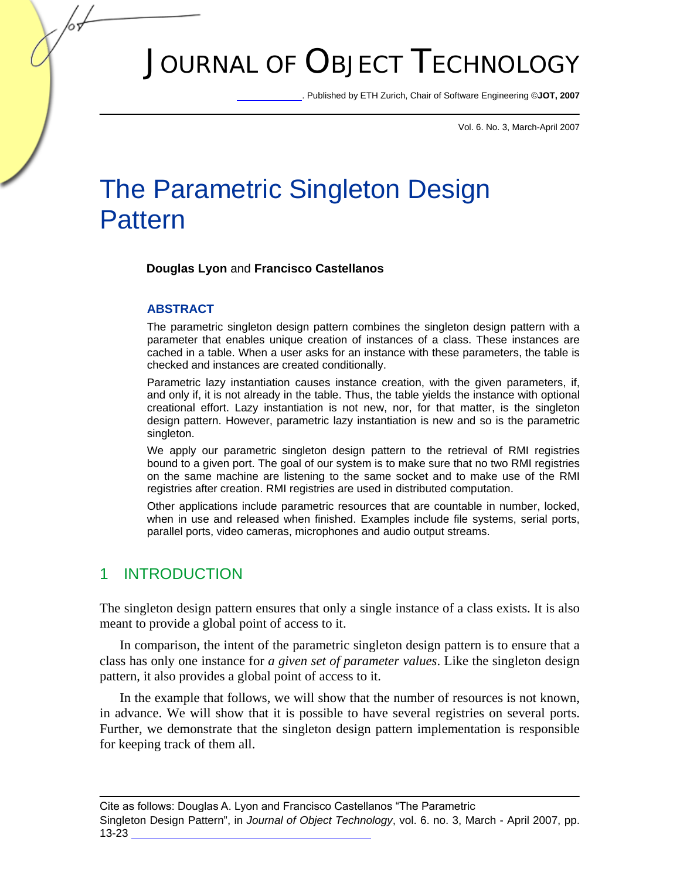# JOURNAL OF OBJECT TECHNOLOGY

. Published by ETH Zurich, Chair of Software Engineering ©**JOT, 2007** 

Vol. 6. No. 3, March-April 2007

## The Parametric Singleton Design Pattern

**Douglas Lyon** and **Francisco Castellanos** 

#### **ABSTRACT**

The parametric singleton design pattern combines the singleton design pattern with a parameter that enables unique creation of instances of a class. These instances are cached in a table. When a user asks for an instance with these parameters, the table is checked and instances are created conditionally.

Parametric lazy instantiation causes instance creation, with the given parameters, if, and only if, it is not already in the table. Thus, the table yields the instance with optional creational effort. Lazy instantiation is not new, nor, for that matter, is the singleton design pattern. However, parametric lazy instantiation is new and so is the parametric singleton.

We apply our parametric singleton design pattern to the retrieval of RMI registries bound to a given port. The goal of our system is to make sure that no two RMI registries on the same machine are listening to the same socket and to make use of the RMI registries after creation. RMI registries are used in distributed computation.

Other applications include parametric resources that are countable in number, locked, when in use and released when finished. Examples include file systems, serial ports, parallel ports, video cameras, microphones and audio output streams.

#### 1 INTRODUCTION

The singleton design pattern ensures that only a single instance of a class exists. It is also meant to provide a global point of access to it.

In comparison, the intent of the parametric singleton design pattern is to ensure that a class has only one instance for *a given set of parameter values*. Like the singleton design pattern, it also provides a global point of access to it.

In the example that follows, we will show that the number of resources is not known, in advance. We will show that it is possible to have several registries on several ports. Further, we demonstrate that the singleton design pattern implementation is responsible for keeping track of them all.

Singleton Design Pattern", in *Journal of Object Technology*, vol. 6. no. 3, March - April 2007, pp. 13-23 Cite as follows: Douglas A. Lyon and Francisco Castellanos "The Parametric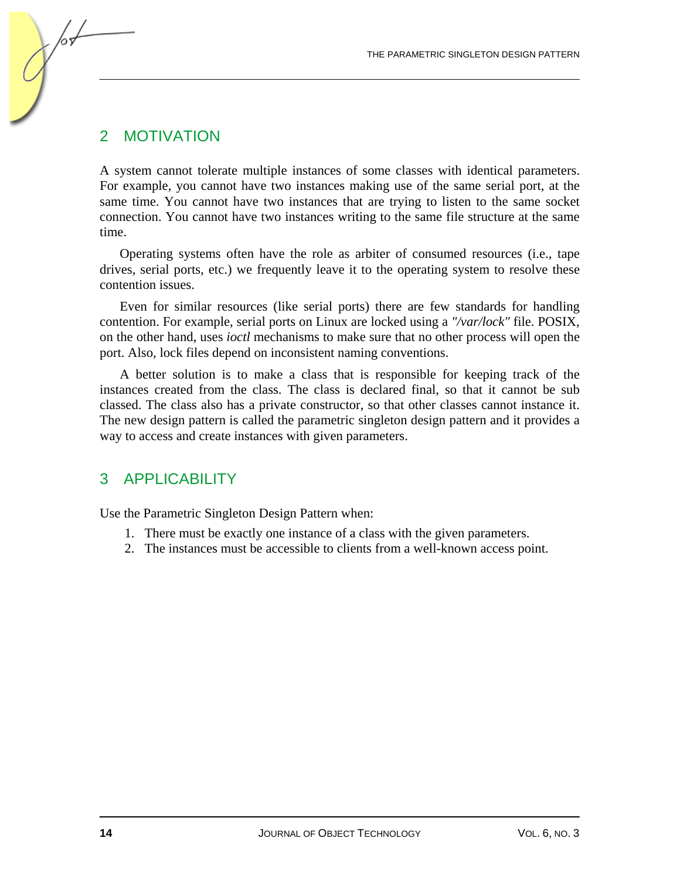## 2 MOTIVATION

A system cannot tolerate multiple instances of some classes with identical parameters. For example, you cannot have two instances making use of the same serial port, at the same time. You cannot have two instances that are trying to listen to the same socket connection. You cannot have two instances writing to the same file structure at the same time.

Operating systems often have the role as arbiter of consumed resources (i.e., tape drives, serial ports, etc.) we frequently leave it to the operating system to resolve these contention issues.

Even for similar resources (like serial ports) there are few standards for handling contention. For example, serial ports on Linux are locked using a *"/var/lock"* file. POSIX, on the other hand, uses *ioctl* mechanisms to make sure that no other process will open the port. Also, lock files depend on inconsistent naming conventions.

A better solution is to make a class that is responsible for keeping track of the instances created from the class. The class is declared final, so that it cannot be sub classed. The class also has a private constructor, so that other classes cannot instance it. The new design pattern is called the parametric singleton design pattern and it provides a way to access and create instances with given parameters.

#### 3 APPLICABILITY

Use the Parametric Singleton Design Pattern when:

- 1. There must be exactly one instance of a class with the given parameters.
- 2. The instances must be accessible to clients from a well-known access point.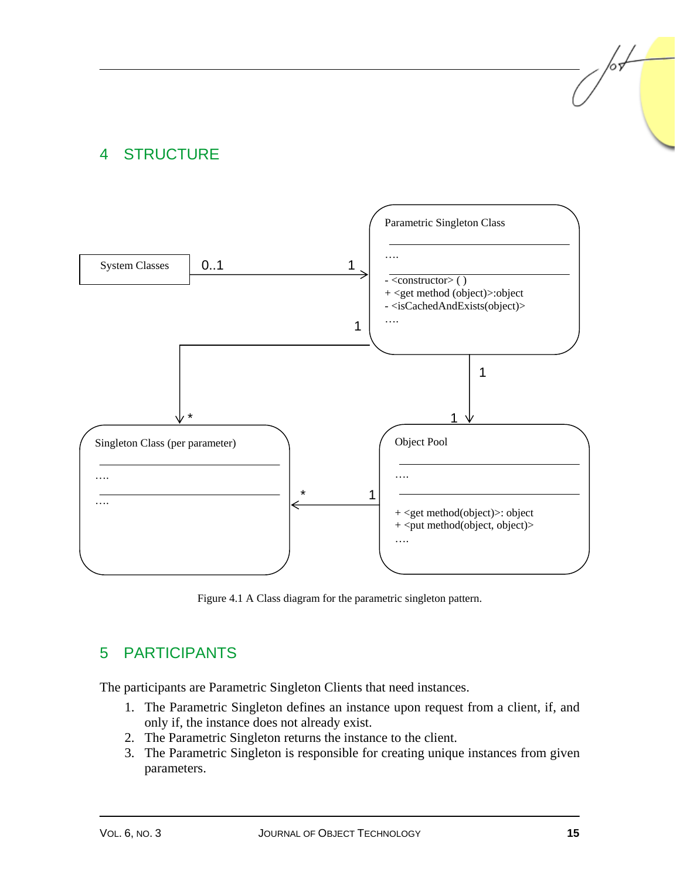## 4 STRUCTURE



Figure 4.1 A Class diagram for the parametric singleton pattern.

## 5 PARTICIPANTS

The participants are Parametric Singleton Clients that need instances.

- 1. The Parametric Singleton defines an instance upon request from a client, if, and only if, the instance does not already exist.
- 2. The Parametric Singleton returns the instance to the client.
- 3. The Parametric Singleton is responsible for creating unique instances from given parameters.

/or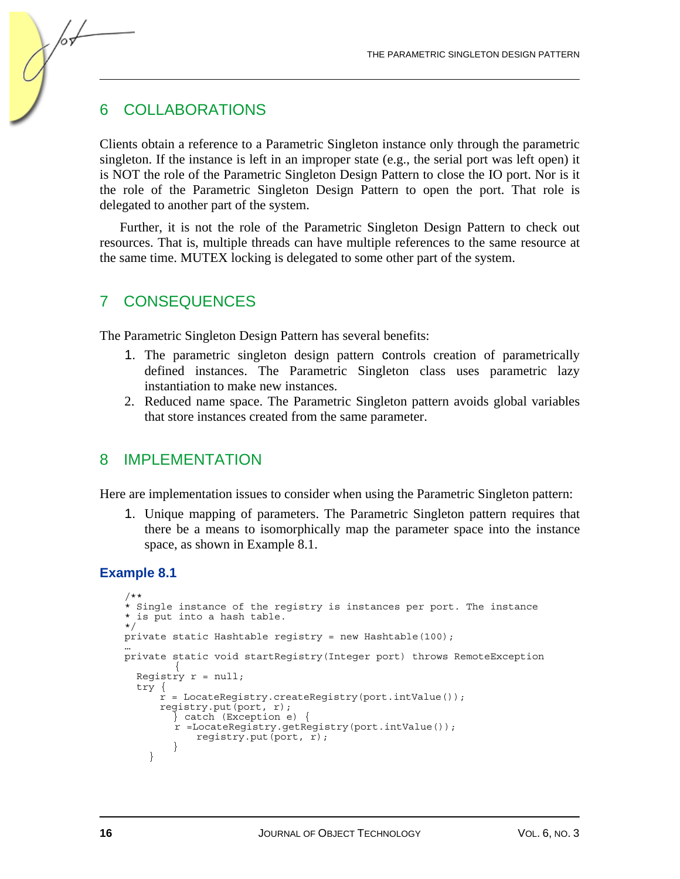## 6 COLLABORATIONS

/or

Clients obtain a reference to a Parametric Singleton instance only through the parametric singleton. If the instance is left in an improper state (e.g., the serial port was left open) it is NOT the role of the Parametric Singleton Design Pattern to close the IO port. Nor is it the role of the Parametric Singleton Design Pattern to open the port. That role is delegated to another part of the system.

Further, it is not the role of the Parametric Singleton Design Pattern to check out resources. That is, multiple threads can have multiple references to the same resource at the same time. MUTEX locking is delegated to some other part of the system.

#### 7 CONSEQUENCES

The Parametric Singleton Design Pattern has several benefits:

- 1. The parametric singleton design pattern controls creation of parametrically defined instances. The Parametric Singleton class uses parametric lazy instantiation to make new instances.
- 2. Reduced name space. The Parametric Singleton pattern avoids global variables that store instances created from the same parameter.

#### 8 IMPI EMENTATION

Here are implementation issues to consider when using the Parametric Singleton pattern:

1. Unique mapping of parameters. The Parametric Singleton pattern requires that there be a means to isomorphically map the parameter space into the instance space, as shown in Example 8.1.

#### **Example 8.1**

```
/** 
* Single instance of the registry is instances per port. The instance 
* is put into a hash table. 
*/ 
private static Hashtable registry = new Hashtable(100); 
… 
private static void startRegistry(Integer port) throws RemoteException 
         { 
   Registry r = null; 
   try { 
       r = LocateRegistry.createRegistry(port.intValue()); 
       registry.put(port, r); 
         } catch (Exception e) { 
         r =LocateRegistry.getRegistry(port.intValue()); 
             registry.put(port, r); 
 } 
     }
```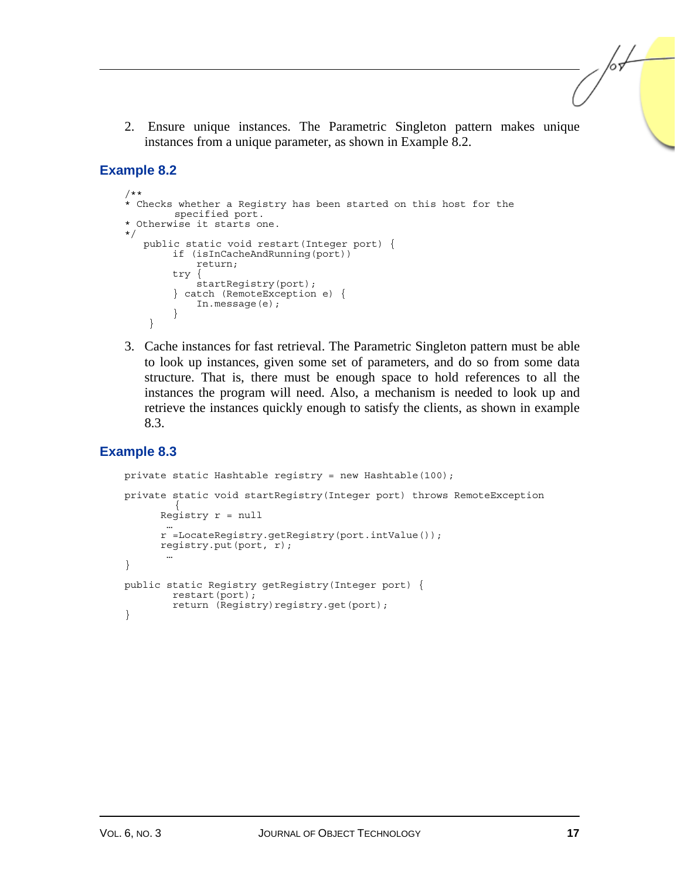2. Ensure unique instances. The Parametric Singleton pattern makes unique instances from a unique parameter, as shown in Example 8.2.

#### **Example 8.2**

```
/** 
* Checks whether a Registry has been started on this host for the 
        specified port. 
* Otherwise it starts one. 
*/ 
    public static void restart(Integer port) { 
         if (isInCacheAndRunning(port)) 
             return; 
         try { 
             startRegistry(port); 
         } catch (RemoteException e) { 
             In.message(e); 
 } 
     }
```
3. Cache instances for fast retrieval. The Parametric Singleton pattern must be able to look up instances, given some set of parameters, and do so from some data structure. That is, there must be enough space to hold references to all the instances the program will need. Also, a mechanism is needed to look up and retrieve the instances quickly enough to satisfy the clients, as shown in example 8.3.

#### **Example 8.3**

```
private static Hashtable registry = new Hashtable(100); 
private static void startRegistry(Integer port) throws RemoteException 
        { 
      Registry r = null … 
       r =LocateRegistry.getRegistry(port.intValue()); 
       registry.put(port, r); 
 … 
} 
public static Registry getRegistry(Integer port) { 
        restart(port); 
        return (Registry)registry.get(port);
}
```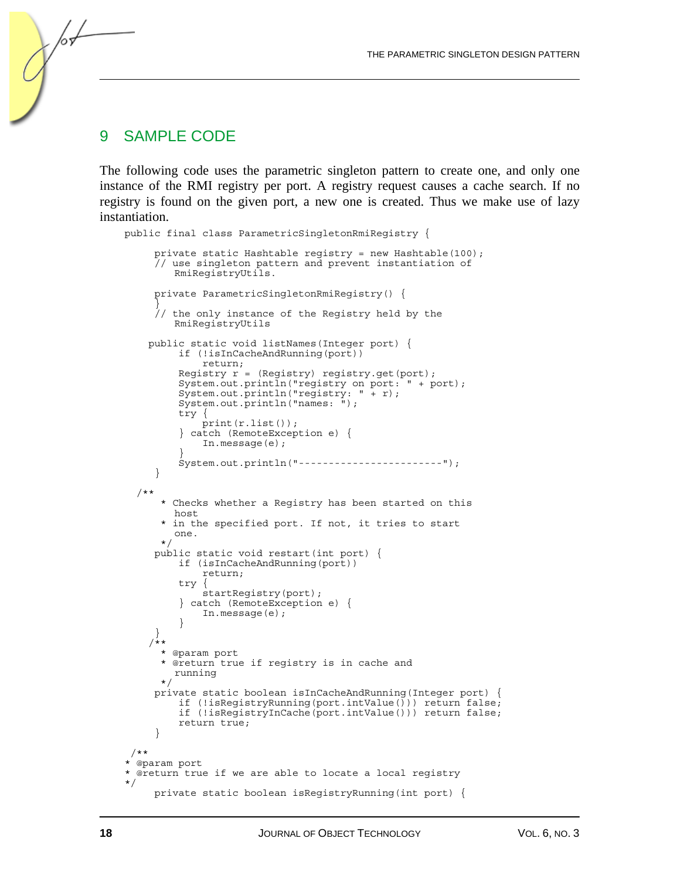#### 9 SAMPLE CODE

/or

The following code uses the parametric singleton pattern to create one, and only one instance of the RMI registry per port. A registry request causes a cache search. If no registry is found on the given port, a new one is created. Thus we make use of lazy instantiation.

```
public final class ParametricSingletonRmiRegistry { 
      private static Hashtable registry = new Hashtable(100); 
      // use singleton pattern and prevent instantiation of 
        RmiRegistryUtils. 
      private ParametricSingletonRmiRegistry() { 
 } 
        the only instance of the Reqistry held by the
        RmiRegistryUtils 
     public static void listNames(Integer port) { 
          if (!isInCacheAndRunning(port)) 
              return; 
         Registry r = (Registry) registry.get(port);
          System.out.println("registry on port: " + port); 
 System.out.println("registry: " + r); 
 System.out.println("names: "); 
          try { 
              print(r.list()); 
          } catch (RemoteException e) { 
              In.message(e); 
 } 
          System.out.println("------------------------"); 
      } 
   /** 
       * Checks whether a Registry has been started on this 
        host 
       * in the specified port. If not, it tries to start 
        one. 
       */ 
      public static void restart(int port) { 
          if (isInCacheAndRunning(port)) 
              return; 
          try { 
              startRegistry(port); 
           } catch (RemoteException e) { 
              In.message(e); 
 } 
 } 
    /** * @param port 
       * @return true if registry is in cache and 
        running 
       */ 
      private static boolean isInCacheAndRunning(Integer port) { 
          if (!isRegistryRunning(port.intValue())) return false; 
          if (!isRegistryInCache(port.intValue())) return false; 
          return true; 
      } 
 /** 
* @param port 
* @return true if we are able to locate a local registry 
*/ 
      private static boolean isRegistryRunning(int port) {
```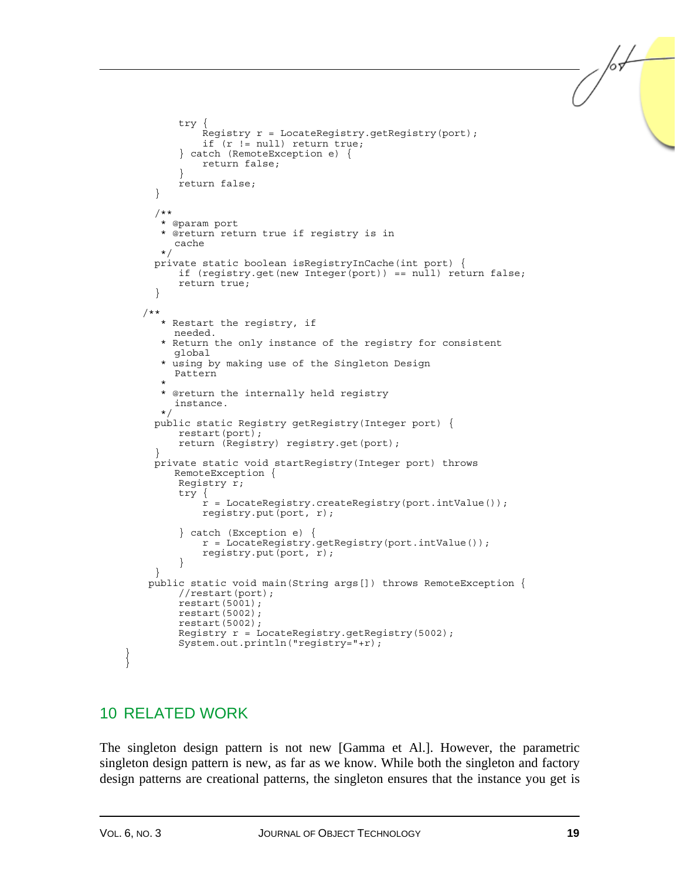```
 try { 
              Registry r = LocateRegistry.getRegistry(port); 
              if (r != null) return true; 
          } catch (RemoteException e) { 
              return false; 
 } 
          return false; 
      } 
      /** 
       * @param port 
       * @return return true if registry is in 
        cache 
       */ 
     private static boolean isRegistryInCache(int port) { 
          if (registry.get(new Integer(port)) == null) return false; 
          return true; 
 } 
    /** 
       * Restart the registry, if 
        needed. 
       * Return the only instance of the registry for consistent 
        global 
       * using by making use of the Singleton Design 
        Pattern 
\star * @return the internally held registry 
        instance. 
       */ 
      public static Registry getRegistry(Integer port) { 
          restart(port); 
          return (Registry) registry.get(port); 
 } 
      private static void startRegistry(Integer port) throws 
        RemoteException { 
          Registry r; 
          try { 
             r = LocateRegistry.createRegistry(port.intValue());
              registry.put(port, r); 
          } catch (Exception e) { 
              r = LocateRegistry.getRegistry(port.intValue()); 
              registry.put(port, r); 
 } 
 } 
    public static void main(String args[]) throws RemoteException { 
          //restart(port); 
          restart(5001); 
          restart(5002); 
          restart(5002); 
         Reqistry r = LocateReqistry.qetReqistry(5002);
          System.out.println("registry="+r);
```
## 10 RELATED WORK

The singleton design pattern is not new [Gamma et Al.]. However, the parametric singleton design pattern is new, as far as we know. While both the singleton and factory design patterns are creational patterns, the singleton ensures that the instance you get is

} } /or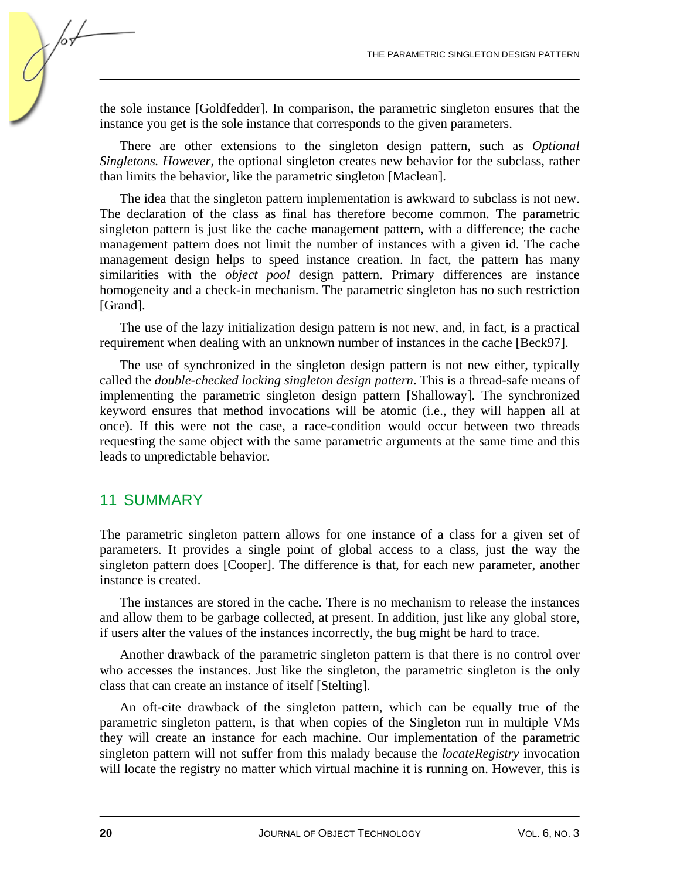the sole instance [Goldfedder]. In comparison, the parametric singleton ensures that the instance you get is the sole instance that corresponds to the given parameters.

There are other extensions to the singleton design pattern, such as *Optional Singletons. However*, the optional singleton creates new behavior for the subclass, rather than limits the behavior, like the parametric singleton [Maclean].

The idea that the singleton pattern implementation is awkward to subclass is not new. The declaration of the class as final has therefore become common. The parametric singleton pattern is just like the cache management pattern, with a difference; the cache management pattern does not limit the number of instances with a given id. The cache management design helps to speed instance creation. In fact, the pattern has many similarities with the *object pool* design pattern. Primary differences are instance homogeneity and a check-in mechanism. The parametric singleton has no such restriction [Grand].

The use of the lazy initialization design pattern is not new, and, in fact, is a practical requirement when dealing with an unknown number of instances in the cache [Beck97].

The use of synchronized in the singleton design pattern is not new either, typically called the *double-checked locking singleton design pattern*. This is a thread-safe means of implementing the parametric singleton design pattern [Shalloway]. The synchronized keyword ensures that method invocations will be atomic (i.e., they will happen all at once). If this were not the case, a race-condition would occur between two threads requesting the same object with the same parametric arguments at the same time and this leads to unpredictable behavior.

#### 11 SUMMARY

The parametric singleton pattern allows for one instance of a class for a given set of parameters. It provides a single point of global access to a class, just the way the singleton pattern does [Cooper]. The difference is that, for each new parameter, another instance is created.

The instances are stored in the cache. There is no mechanism to release the instances and allow them to be garbage collected, at present. In addition, just like any global store, if users alter the values of the instances incorrectly, the bug might be hard to trace.

Another drawback of the parametric singleton pattern is that there is no control over who accesses the instances. Just like the singleton, the parametric singleton is the only class that can create an instance of itself [Stelting].

An oft-cite drawback of the singleton pattern, which can be equally true of the parametric singleton pattern, is that when copies of the Singleton run in multiple VMs they will create an instance for each machine. Our implementation of the parametric singleton pattern will not suffer from this malady because the *locateRegistry* invocation will locate the registry no matter which virtual machine it is running on. However, this is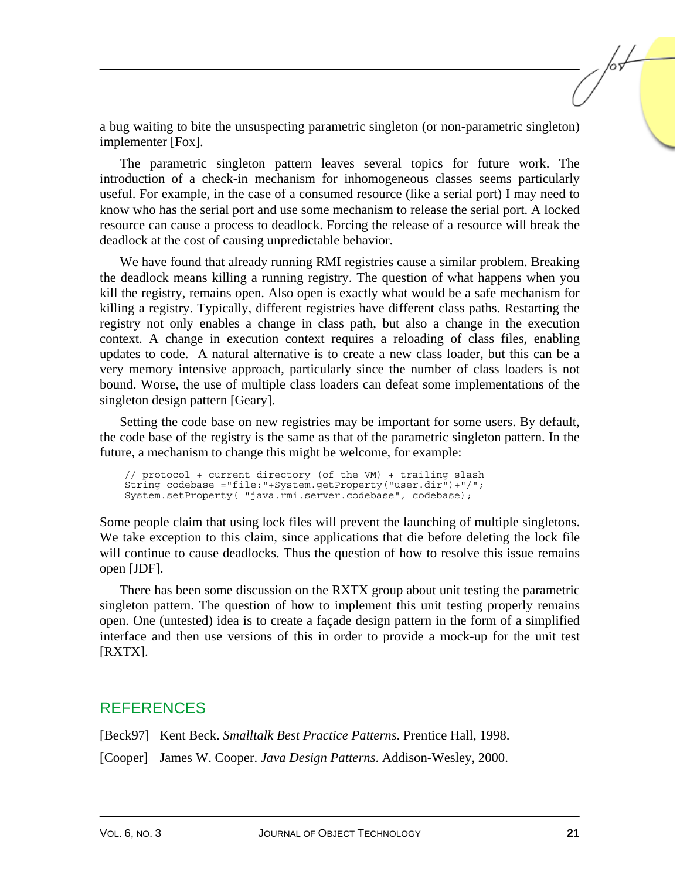a bug waiting to bite the unsuspecting parametric singleton (or non-parametric singleton) implementer [Fox].

The parametric singleton pattern leaves several topics for future work. The introduction of a check-in mechanism for inhomogeneous classes seems particularly useful. For example, in the case of a consumed resource (like a serial port) I may need to know who has the serial port and use some mechanism to release the serial port. A locked resource can cause a process to deadlock. Forcing the release of a resource will break the deadlock at the cost of causing unpredictable behavior.

We have found that already running RMI registries cause a similar problem. Breaking the deadlock means killing a running registry. The question of what happens when you kill the registry, remains open. Also open is exactly what would be a safe mechanism for killing a registry. Typically, different registries have different class paths. Restarting the registry not only enables a change in class path, but also a change in the execution context. A change in execution context requires a reloading of class files, enabling updates to code. A natural alternative is to create a new class loader, but this can be a very memory intensive approach, particularly since the number of class loaders is not bound. Worse, the use of multiple class loaders can defeat some implementations of the singleton design pattern [Geary].

Setting the code base on new registries may be important for some users. By default, the code base of the registry is the same as that of the parametric singleton pattern. In the future, a mechanism to change this might be welcome, for example:

// protocol + current directory (of the VM) + trailing slash String codebase ="file:"+System.getProperty("user.dir")+"/"; System.setProperty( "java.rmi.server.codebase", codebase);

Some people claim that using lock files will prevent the launching of multiple singletons. We take exception to this claim, since applications that die before deleting the lock file will continue to cause deadlocks. Thus the question of how to resolve this issue remains open [JDF].

There has been some discussion on the RXTX group about unit testing the parametric singleton pattern. The question of how to implement this unit testing properly remains open. One (untested) idea is to create a façade design pattern in the form of a simplified interface and then use versions of this in order to provide a mock-up for the unit test [RXTX].

#### **REFERENCES**

[Beck97] Kent Beck. *Smalltalk Best Practice Patterns*. Prentice Hall, 1998.

[Cooper] James W. Cooper. *Java Design Patterns*. Addison-Wesley, 2000.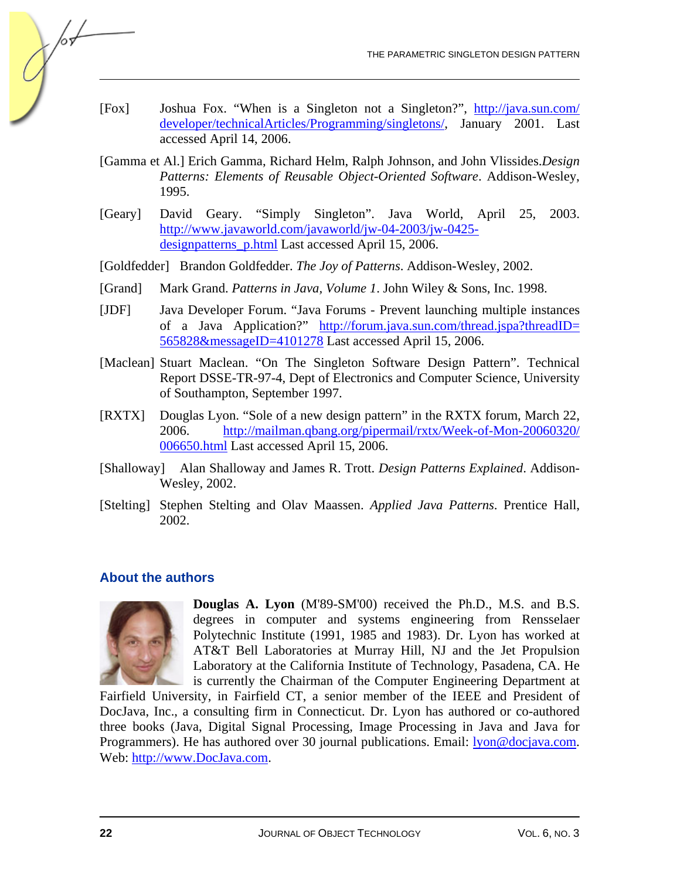- [Fox] Joshua Fox. "When is a Singleton not a Singleton?", http://java.sun.com/ developer/technicalArticles/Programming/singletons/, January 2001. Last accessed April 14, 2006.
- [Gamma et Al.] Erich Gamma, Richard Helm, Ralph Johnson, and John Vlissides.*Design Patterns: Elements of Reusable Object-Oriented Software*. Addison-Wesley, 1995.
- [Geary] David Geary. "Simply Singleton". Java World, April 25, 2003. http://www.javaworld.com/javaworld/jw-04-2003/jw-0425 designpatterns\_p.html Last accessed April 15, 2006.
- [Goldfedder] Brandon Goldfedder. *The Joy of Patterns*. Addison-Wesley, 2002.
- [Grand] Mark Grand. *Patterns in Java, Volume 1*. John Wiley & Sons, Inc. 1998.
- [JDF] Java Developer Forum. "Java Forums Prevent launching multiple instances of a Java Application?" http://forum.java.sun.com/thread.jspa?threadID= 565828&messageID=4101278 Last accessed April 15, 2006.
- [Maclean] Stuart Maclean. "On The Singleton Software Design Pattern". Technical Report DSSE-TR-97-4, Dept of Electronics and Computer Science, University of Southampton, September 1997.
- [RXTX] Douglas Lyon. "Sole of a new design pattern" in the RXTX forum, March 22, 2006. http://mailman.qbang.org/pipermail/rxtx/Week-of-Mon-20060320/ 006650.html Last accessed April 15, 2006.
- [Shalloway] Alan Shalloway and James R. Trott. *Design Patterns Explained*. Addison-Wesley, 2002.
- [Stelting] Stephen Stelting and Olav Maassen. *Applied Java Patterns*. Prentice Hall, 2002.

#### **About the authors**



 $\sqrt{\sigma}$ 

**Douglas A. Lyon** (M'89-SM'00) received the Ph.D., M.S. and B.S. degrees in computer and systems engineering from Rensselaer Polytechnic Institute (1991, 1985 and 1983). Dr. Lyon has worked at AT&T Bell Laboratories at Murray Hill, NJ and the Jet Propulsion Laboratory at the California Institute of Technology, Pasadena, CA. He is currently the Chairman of the Computer Engineering Department at

Fairfield University, in Fairfield CT, a senior member of the IEEE and President of DocJava, Inc., a consulting firm in Connecticut. Dr. Lyon has authored or co-authored three books (Java, Digital Signal Processing, Image Processing in Java and Java for Programmers). He has authored over 30 journal publications. Email: lyon@docjava.com. Web: http://www.DocJava.com.